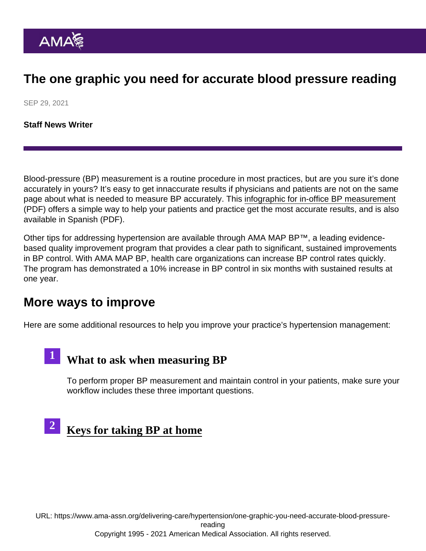#### The one graphic you need for accurate blood pressure reading

SEP 29, 2021

[Staff News Writer](https://www.ama-assn.org/news-leadership-viewpoints/authors-news-leadership-viewpoints/staff-news-writer)

Blood-pressure (BP) measurement is a routine procedure in most practices, but are you sure it's done accurately in yours? It's easy to get innaccurate results if physicians and patients are not on the same page about what is needed to measure BP accurately. This [infographic for in-office BP measurement](https://www.ama-assn.org/system/files/2020-11/in-office-bp-measurement-infographic.pdf) (PDF) offers a simple way to help your patients and practice get the most accurate results, and is also available in [Spanish](https://www.ama-assn.org/system/files/2020-11/in-office-bp-measurement-infographic-spanish.pdf) (PDF).

Other tips for addressing hypertension are available through AMA MAP BP™, a leading evidencebased quality improvement program that provides a clear path to significant, sustained improvements in BP control. With AMA MAP BP, health care organizations can increase BP control rates quickly. The program has demonstrated a 10% increase in BP control in six months with sustained results at one year.

#### More ways to improve

1

Here are some additional resources to help you improve your practice's hypertension management:

[What to ask when measuring BP](https://www.ama-assn.org/delivering-care/hypertension/3-questions-ask-patients-when-measuring-blood-pressure)

To perform proper BP measurement and maintain control in your patients, make sure your workflow includes these three important questions.



URL: [https://www.ama-assn.org/delivering-care/hypertension/one-graphic-you-need-accurate-blood-pressure](https://www.ama-assn.org/delivering-care/hypertension/one-graphic-you-need-accurate-blood-pressure-reading)[reading](https://www.ama-assn.org/delivering-care/hypertension/one-graphic-you-need-accurate-blood-pressure-reading) Copyright 1995 - 2021 American Medical Association. All rights reserved.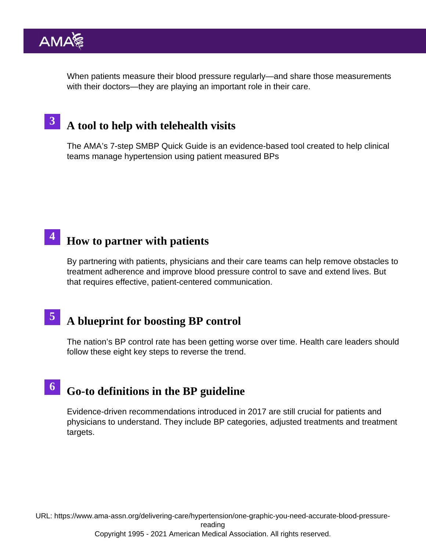When patients measure their blood pressure regularly—and share those measurements with their doctors—they are playing an important role in their care.

#### [A tool to help with telehealth visits](https://www.ama-assn.org/delivering-care/hypertension/why-telehealth-visits-shouldn-t-mean-skipping-bp-measurement) 3

The AMA's [7-step SMBP Quick Guide](https://www.ama-assn.org/delivering-care/hypertension/7-step-self-measured-blood-pressure-smbp-quick-guide) is an evidence-based tool created to help clinical teams manage hypertension using patient measured BPs

#### $4$  [How to partner with patients](https://www.ama-assn.org/delivering-care/hypertension/4-steps-great-teamwork-patients-improve-bp-control)

By partnering with patients, physicians and their care teams can help remove obstacles to treatment adherence and improve blood pressure control to save and extend lives. But that requires effective, patient-centered communication.

# 5 [A blueprint for boosting BP control](https://www.ama-assn.org/delivering-care/hypertension/us-health-care-should-follow-blueprint-boost-bp-control)

The nation's BP control rate has been getting worse over time. Health care leaders should follow these eight key steps to reverse the trend.

#### 6 [Go-to definitions in the BP guideline](https://www.ama-assn.org/delivering-care/hypertension/new-bp-guideline-5-things-physicians-should-know)

Evidence-driven recommendations introduced in 2017 are still crucial for patients and physicians to understand. They include BP categories, adjusted treatments and treatment targets.

URL: [https://www.ama-assn.org/delivering-care/hypertension/one-graphic-you-need-accurate-blood-pressure](https://www.ama-assn.org/delivering-care/hypertension/one-graphic-you-need-accurate-blood-pressure-reading)[reading](https://www.ama-assn.org/delivering-care/hypertension/one-graphic-you-need-accurate-blood-pressure-reading)